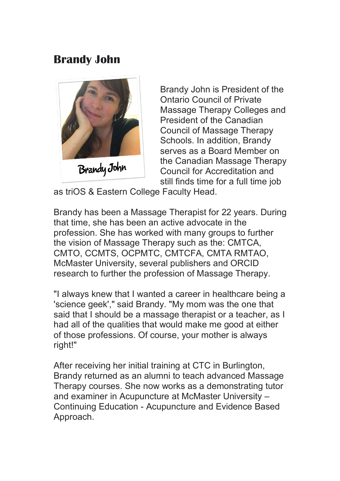## **Brandy John**



Brandy John is President of the Ontario Council of Private Massage Therapy Colleges and President of the Canadian Council of Massage Therapy Schools. In addition, Brandy serves as a Board Member on the Canadian Massage Therapy Council for Accreditation and still finds time for a full time job

as triOS & Eastern College Faculty Head.

Brandy has been a Massage Therapist for 22 years. During that time, she has been an active advocate in the profession. She has worked with many groups to further the vision of Massage Therapy such as the: CMTCA, CMTO, CCMTS, OCPMTC, CMTCFA, CMTA RMTAO, McMaster University, several publishers and ORCID research to further the profession of Massage Therapy.

"I always knew that I wanted a career in healthcare being a 'science geek'," said Brandy. "My mom was the one that said that I should be a massage therapist or a teacher, as I had all of the qualities that would make me good at either of those professions. Of course, your mother is always right!"

After receiving her initial training at CTC in Burlington, Brandy returned as an alumni to teach advanced Massage Therapy courses. She now works as a demonstrating tutor and examiner in Acupuncture at McMaster University – Continuing Education - Acupuncture and Evidence Based Approach.